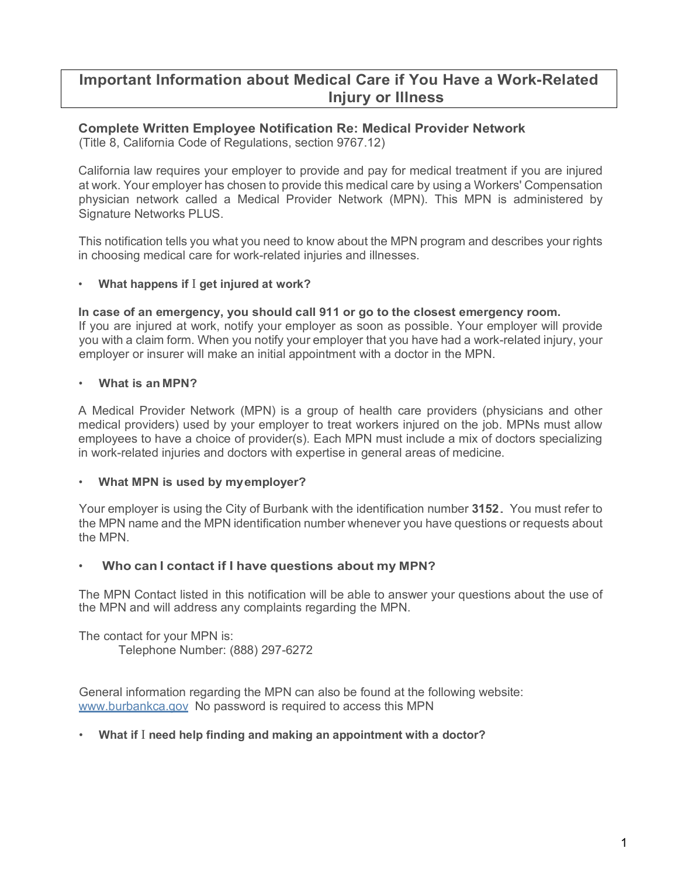# **Important Information about Medical Care if You Have a Work-Related Injury or Illness**

# **Complete Written Employee Notification Re: Medical Provider Network**

(Title 8, California Code of Regulations, section 9767.12)

California law requires your employer to provide and pay for medical treatment if you are injured at work. Your employer has chosen to provide this medical care by using a Workers' Compensation physician network called a Medical Provider Network (MPN). This MPN is administered by Signature Networks PLUS.

This notification tells you what you need to know about the MPN program and describes your rights in choosing medical care for work-related injuries and illnesses.

# • **What happens if** I **get injured at work?**

**In case of an emergency, you should call 911 or go to the closest emergency room.** If you are injured at work, notify your employer as soon as possible. Your employer will provide you with a claim form. When you notify your employer that you have had a work-related injury, your employer or insurer will make an initial appointment with a doctor in the MPN.

# • **What is an MPN?**

A Medical Provider Network (MPN) is a group of health care providers (physicians and other medical providers) used by your employer to treat workers injured on the job. MPNs must allow employees to have a choice of provider(s). Each MPN must include a mix of doctors specializing in work-related injuries and doctors with expertise in general areas of medicine.

# • **What MPN is used by myemployer?**

Your employer is using the City of Burbank with the identification number **3152**. You must refer to the MPN name and the MPN identification number whenever you have questions or requests about the MPN.

# • **Who can I contact if I have questions about my MPN?**

The MPN Contact listed in this notification will be able to answer your questions about the use of the MPN and will address any complaints regarding the MPN.

The contact for your MPN is: Telephone Number: (888) 297-6272

General information regarding the MPN can also be found at the following website: [www.burbankca.gov](http://www.burbankca.gov/) No password is required to access this MPN

# • **What if** I **need help finding and making an appointment with a doctor?**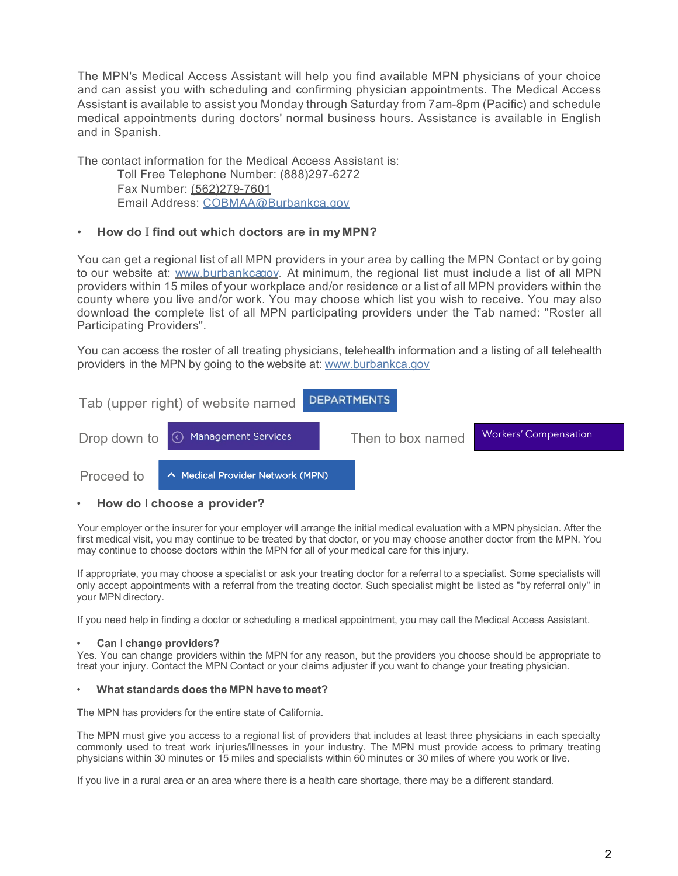The MPN's Medical Access Assistant will help you find available MPN physicians of your choice and can assist you with scheduling and confirming physician appointments. The Medical Access Assistant is available to assist you Monday through Saturday from 7am-8pm (Pacific) and schedule medical appointments during doctors' normal business hours. Assistance is available in English and in Spanish.

The contact information for the Medical Access Assistant is: Toll Free Telephone Number: (888)297-6272 Fax Number: (562)279-7601 Email Address: [COBMAA@Burbankca.gov](mailto:COBMAA@Burbankca.gov)

### • **How do** I **find out which doctors are in myMPN?**

You can get a regional list of all MPN providers in your area by calling the MPN Contact or by going to our website at: www.burbankca ov. At minimum, the regional list must include a list of all MPN providers within 15 miles of your workplace and/or residence or a list of all MPN providers within the county where you live and/or work. You may choose which list you wish to receive. You may also download the complete list of all MPN participating providers under the Tab named: "Roster all Participating Providers".

You can access the roster of all treating physicians, telehealth information and a listing of all telehealth providers in the MPN by going to the website at: [www.burbankca.gov](http://www.burbankca.gov/)



### • **How do** I **choose a provider?**

Your employer or the insurer for your employer will arrange the initial medical evaluation with a MPN physician. After the first medical visit, you may continue to be treated by that doctor, or you may choose another doctor from the MPN. You may continue to choose doctors within the MPN for all of your medical care for this injury.

If appropriate, you may choose a specialist or ask your treating doctor for a referral to a specialist. Some specialists will only accept appointments with a referral from the treating doctor. Such specialist might be listed as "by referral only'' in your MPN directory.

If you need help in finding a doctor or scheduling a medical appointment, you may call the Medical Access Assistant.

#### • **Can** I **change providers?**

Yes. You can change providers within the MPN for any reason, but the providers you choose should be appropriate to treat your injury. Contact the MPN Contact or your claims adjuster if you want to change your treating physician.

#### • **What standards does the MPN have to meet?**

The MPN has providers for the entire state of California.

The MPN must give you access to a regional list of providers that includes at least three physicians in each specialty commonly used to treat work injuries/illnesses in your industry. The MPN must provide access to primary treating physicians within 30 minutes or 15 miles and specialists within 60 minutes or 30 miles of where you work or live.

If you live in a rural area or an area where there is a health care shortage, there may be a different standard.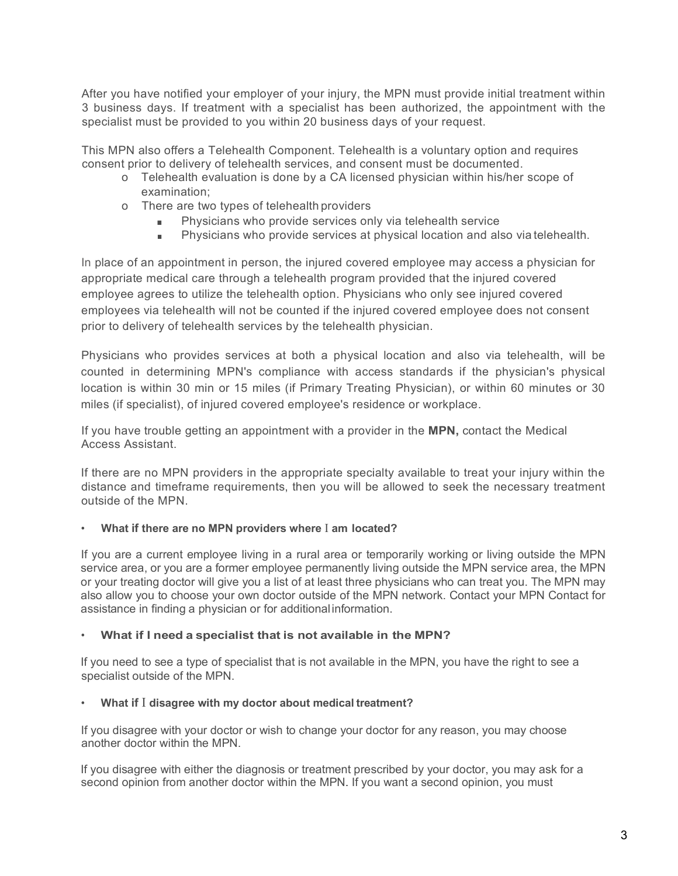After you have notified your employer of your injury, the MPN must provide initial treatment within 3 business days. If treatment with a specialist has been authorized, the appointment with the specialist must be provided to you within 20 business days of your request.

This MPN also offers a Telehealth Component. Telehealth is a voluntary option and requires consent prior to delivery of telehealth services, and consent must be documented.

- o Telehealth evaluation is done by a CA licensed physician within his/her scope of examination;
- o There are two types of telehealth providers
	- Physicians who provide services only via telehealth service
	- Physicians who provide services at physical location and also via telehealth.

In place of an appointment in person, the injured covered employee may access a physician for appropriate medical care through a telehealth program provided that the injured covered employee agrees to utilize the telehealth option. Physicians who only see injured covered employees via telehealth will not be counted if the injured covered employee does not consent prior to delivery of telehealth services by the telehealth physician.

Physicians who provides services at both a physical location and also via telehealth, will be counted in determining MPN's compliance with access standards if the physician's physical location is within 30 min or 15 miles (if Primary Treating Physician), or within 60 minutes or 30 miles (if specialist), of injured covered employee's residence or workplace.

If you have trouble getting an appointment with a provider in the **MPN,** contact the Medical Access Assistant.

If there are no MPN providers in the appropriate specialty available to treat your injury within the distance and timeframe requirements, then you will be allowed to seek the necessary treatment outside of the MPN.

### • **What if there are no MPN providers where** I **am located?**

If you are a current employee living in a rural area or temporarily working or living outside the MPN service area, or you are a former employee permanently living outside the MPN service area, the MPN or your treating doctor will give you a list of at least three physicians who can treat you. The MPN may also allow you to choose your own doctor outside of the MPN network. Contact your MPN Contact for assistance in finding a physician or for additional information.

### • **What if I need a specialist that is not available in the MPN?**

If you need to see a type of specialist that is not available in the MPN, you have the right to see a specialist outside of the MPN.

### • **What if** I **disagree with my doctor about medical treatment?**

If you disagree with your doctor or wish to change your doctor for any reason, you may choose another doctor within the MPN.

If you disagree with either the diagnosis or treatment prescribed by your doctor, you may ask for a second opinion from another doctor within the MPN. If you want a second opinion, you must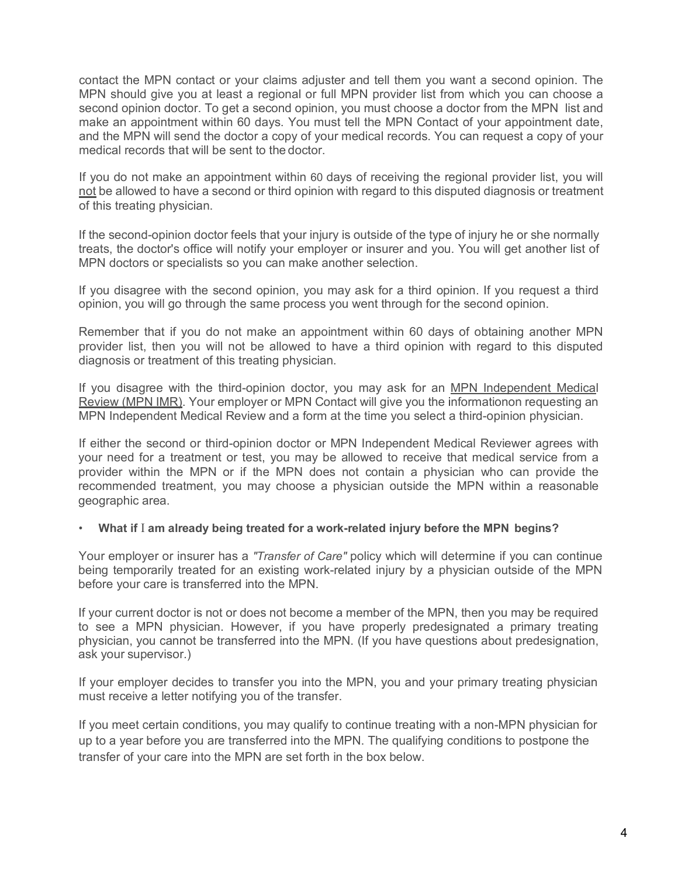contact the MPN contact or your claims adjuster and tell them you want a second opinion. The MPN should give you at least a regional or full MPN provider list from which you can choose a second opinion doctor. To get a second opinion, you must choose a doctor from the MPN list and make an appointment within 60 days. You must tell the MPN Contact of your appointment date, and the MPN will send the doctor a copy of your medical records. You can request a copy of your medical records that will be sent to the doctor.

If you do not make an appointment within 60 days of receiving the regional provider list, you will not be allowed to have a second or third opinion with regard to this disputed diagnosis or treatment of this treating physician.

If the second-opinion doctor feels that your injury is outside of the type of injury he or she normally treats, the doctor's office will notify your employer or insurer and you. You will get another list of MPN doctors or specialists so you can make another selection.

If you disagree with the second opinion, you may ask for a third opinion. If you request a third opinion, you will go through the same process you went through for the second opinion.

Remember that if you do not make an appointment within 60 days of obtaining another MPN provider list, then you will not be allowed to have a third opinion with regard to this disputed diagnosis or treatment of this treating physician.

If you disagree with the third-opinion doctor, you may ask for an MPN Independent Medical Review (MPN IMR). Your employer or MPN Contact will give you the informationon requesting an MPN Independent Medical Review and a form at the time you select a third-opinion physician.

If either the second or third-opinion doctor or MPN Independent Medical Reviewer agrees with your need for a treatment or test, you may be allowed to receive that medical service from a provider within the MPN or if the MPN does not contain a physician who can provide the recommended treatment, you may choose a physician outside the MPN within a reasonable geographic area.

# • **What if** I **am already being treated for a work-related injury before the MPN begins?**

Your employer or insurer has a *"Transfer of Care"* policy which will determine if you can continue being temporarily treated for an existing work-related injury by a physician outside of the MPN before your care is transferred into the MPN.

If your current doctor is not or does not become a member of the MPN, then you may be required to see a MPN physician. However, if you have properly predesignated a primary treating physician, you cannot be transferred into the MPN. (If you have questions about predesignation, ask your supervisor.)

If your employer decides to transfer you into the MPN, you and your primary treating physician must receive a letter notifying you of the transfer.

If you meet certain conditions, you may qualify to continue treating with a non-MPN physician for up to a year before you are transferred into the MPN. The qualifying conditions to postpone the transfer of your care into the MPN are set forth in the box below.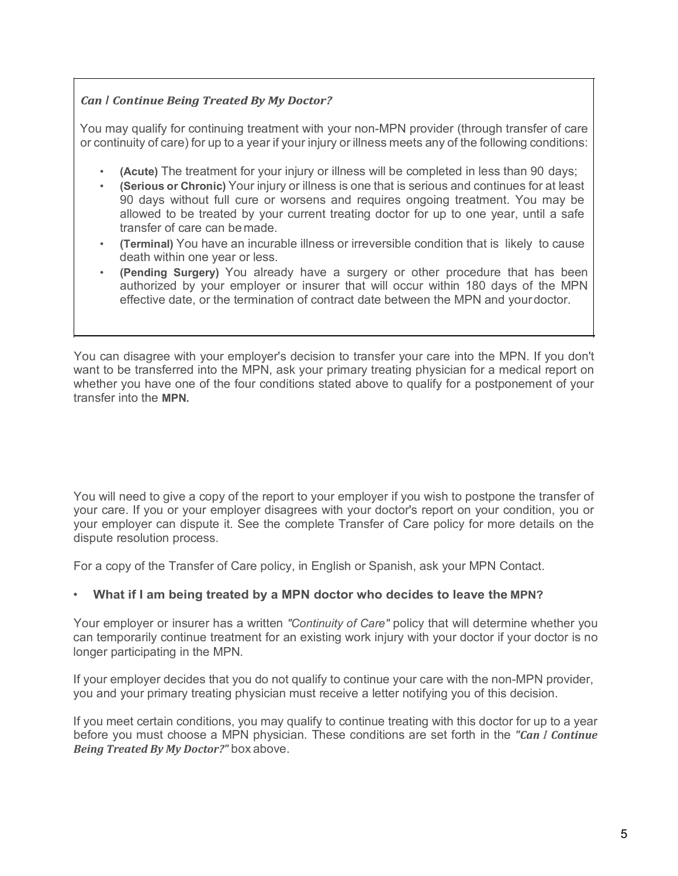# **Can | Continue Being Treated By My Doctor?**

You may qualify for continuing treatment with your non-MPN provider (through transfer of care or continuity of care) for up to a year if your injury or illness meets any of the following conditions:

- **(Acute)** The treatment for your injury or illness will be completed in less than 90 days;
- **(Serious or Chronic)** Your injury or illness is one that is serious and continues for at least 90 days without full cure or worsens and requires ongoing treatment. You may be allowed to be treated by your current treating doctor for up to one year, until a safe transfer of care can be made.
- **(Terminal)** You have an incurable illness or irreversible condition that is likely to cause death within one year or less.
- **(Pending Surgery)** You already have a surgery or other procedure that has been authorized by your employer or insurer that will occur within 180 days of the MPN effective date, or the termination of contract date between the MPN and yourdoctor.

You can disagree with your employer's decision to transfer your care into the MPN. If you don't want to be transferred into the MPN, ask your primary treating physician for a medical report on whether you have one of the four conditions stated above to qualify for a postponement of your transfer into the **MPN.**

You will need to give a copy of the report to your employer if you wish to postpone the transfer of your care. If you or your employer disagrees with your doctor's report on your condition, you or your employer can dispute it. See the complete Transfer of Care policy for more details on the dispute resolution process.

For a copy of the Transfer of Care policy, in English or Spanish, ask your MPN Contact.

# • **What if I am being treated by a MPN doctor who decides to leave the MPN?**

Your employer or insurer has a written *"Continuity of Care"* policy that will determine whether you can temporarily continue treatment for an existing work injury with your doctor if your doctor is no longer participating in the MPN.

If your employer decides that you do not qualify to continue your care with the non-MPN provider, you and your primary treating physician must receive a letter notifying you of this decision.

If you meet certain conditions, you may qualify to continue treating with this doctor for up to a year before you must choose a MPN physician. These conditions are set forth in the *"Can I Continue Being Treated By My Doctor?"* box above.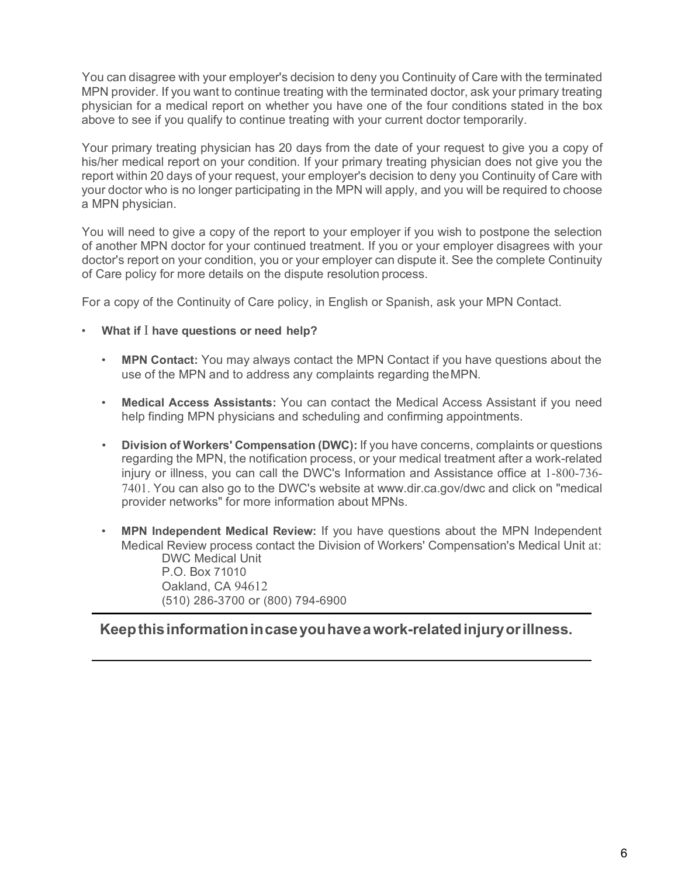You can disagree with your employer's decision to deny you Continuity of Care with the terminated MPN provider. If you want to continue treating with the terminated doctor, ask your primary treating physician for a medical report on whether you have one of the four conditions stated in the box above to see if you qualify to continue treating with your current doctor temporarily.

Your primary treating physician has 20 days from the date of your request to give you a copy of his/her medical report on your condition. If your primary treating physician does not give you the report within 20 days of your request, your employer's decision to deny you Continuity of Care with your doctor who is no longer participating in the MPN will apply, and you will be required to choose a MPN physician.

You will need to give a copy of the report to your employer if you wish to postpone the selection of another MPN doctor for your continued treatment. If you or your employer disagrees with your doctor's report on your condition, you or your employer can dispute it. See the complete Continuity of Care policy for more details on the dispute resolution process.

For a copy of the Continuity of Care policy, in English or Spanish, ask your MPN Contact.

- **What if** I **have questions or need help?**
	- **MPN Contact:** You may always contact the MPN Contact if you have questions about the use of the MPN and to address any complaints regarding theMPN.
	- **Medical Access Assistants:** You can contact the Medical Access Assistant if you need help finding MPN physicians and scheduling and confirming appointments.
	- **Division of Workers' Compensation (DWC):** If you have concerns, complaints or questions regarding the MPN, the notification process, or your medical treatment after a work-related injury or illness, you can call the DWC's Information and Assistance office at 1-800-736- 7401. You can also go to the DWC's website at [www.dir.ca.gov/dwc a](http://www.dir.ca.gov/dwc)nd click on "medical provider networks" for more information about MPNs.
	- **MPN Independent Medical Review:** If you have questions about the MPN Independent Medical Review process contact the Division of Workers' Compensation's Medical Unit at: DWC Medical Unit

P.O. Box 71010 Oakland, CA 94612 (510) 286-3700 or (800) 794-6900

# **Keepthisinformationincaseyouhaveawork-relatedinjuryorillness.**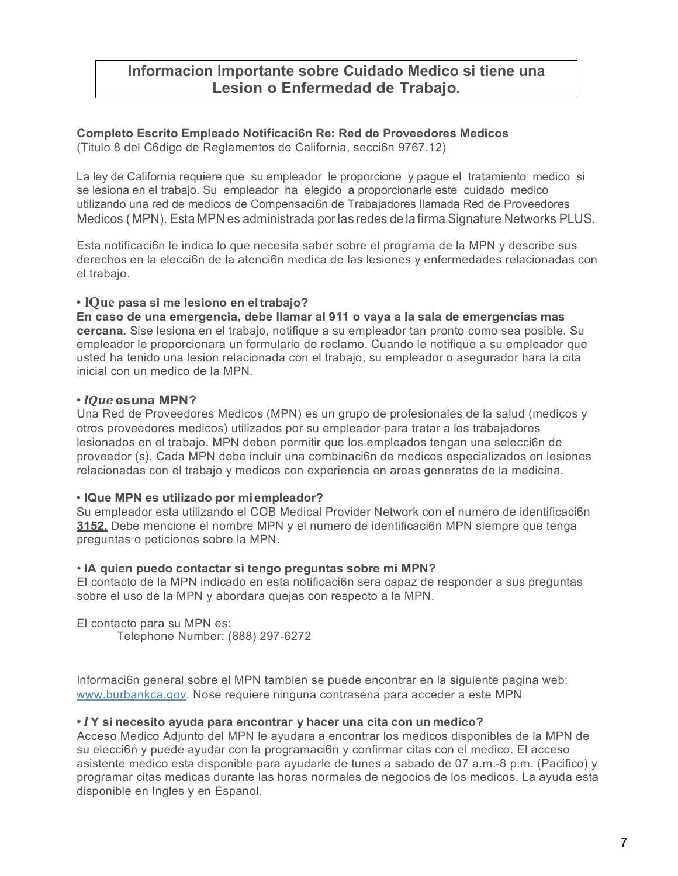# **lnformacion lmportante sobre Cuidado Medico si tiene una Lesion o Enfermedad de Trabajo.**

# **Completo Escrito Empleado Notificaci6n Re: Red de Proveedores Medicos**

(Titulo 8 del C6digo de Reglamentos de California, secci6n 9767.12)

La ley de California requiere que su empleador le proporcione y pague el tratamiento medico si se lesiona en el trabajo. Su empleador ha elegido a proporcionarle este cuidado medico utilizando una red de medicos de Compensaci6n de Trabajadores llamada Red de Proveedores Medicos ( MPN). Esta MPN es administrada por las redes de la firma Signature Networks PLUS.

Esta notificaci6n le indica lo que necesita saber sobre el programa de la MPN y describe sus derechos en la elecci6n de la atenci6n medica de las lesiones y enfermedades relacionadas con el trabajo.

# • **lQue pasa si me lesiono en eltrabajo?**

**En caso de una emergencia, debe llamar al 911 o vaya a la sala de emergencias mas cercana.** Sise lesiona en el trabajo, notifique a su empleador tan pronto como sea posible. Su empleador le proporcionara un formulario de reclamo. Cuando le notifique a su empleador que usted ha tenido una lesion relacionada con el trabajo, su empleador o asegurador hara la cita inicial con un medico de la MPN.

### • *lQue* **esuna MPN?**

Una Red de Proveedores Medicos (MPN) es un grupo de profesionales de la salud (medicos y otros proveedores medicos) utilizados por su empleador para tratar a los trabajadores lesionados en el trabajo. MPN deben permitir que los empleados tengan una selecci6n de proveedor (s). Cada MPN debe incluir una combinaci6n de medicos especializados en lesiones relacionadas con el trabajo y medicos con experiencia en areas generates de la medicina.

# • **lQue MPN es utilizado por miempleador?**

Su empleador esta utilizando el COB Medical Provider Network con el numero de identificaci6n **3152.** Debe mencione el nombre MPN y el numero de identificaci6n MPN siempre que tenga preguntas o peticiones sobre la MPN.

# • **lA quien puedo contactar si tengo preguntas sobre mi MPN?**

El contacto de la MPN indicado en esta notificaci6n sera capaz de responder a sus preguntas sobre el uso de la MPN y abordara quejas con respecto a la MPN.

El contacto para su MPN es: Telephone Number: (888) 297-6272

lnformaci6n general sobre el MPN tambien se puede encontrar en la siguiente pagina web: [www.burbankca.gov.](http://www.burbankca.gov/) Nose requiere ninguna contrasena para acceder a este MPN

# • *l* **Y si necesito ayuda para encontrar y hacer una cita con un medico?**

Acceso Medico Adjunto del MPN le ayudara a encontrar los medicos disponibles de la MPN de su elecci6n y puede ayudar con la programaci6n y confirmar citas con el medico. El acceso asistente medico esta disponible para ayudarle de tunes a sabado de 07 a.m.-8 p.m. (Pacifico) y programar citas medicas durante las horas normales de negocios de los medicos. La ayuda esta disponible en Ingles y en Espanol.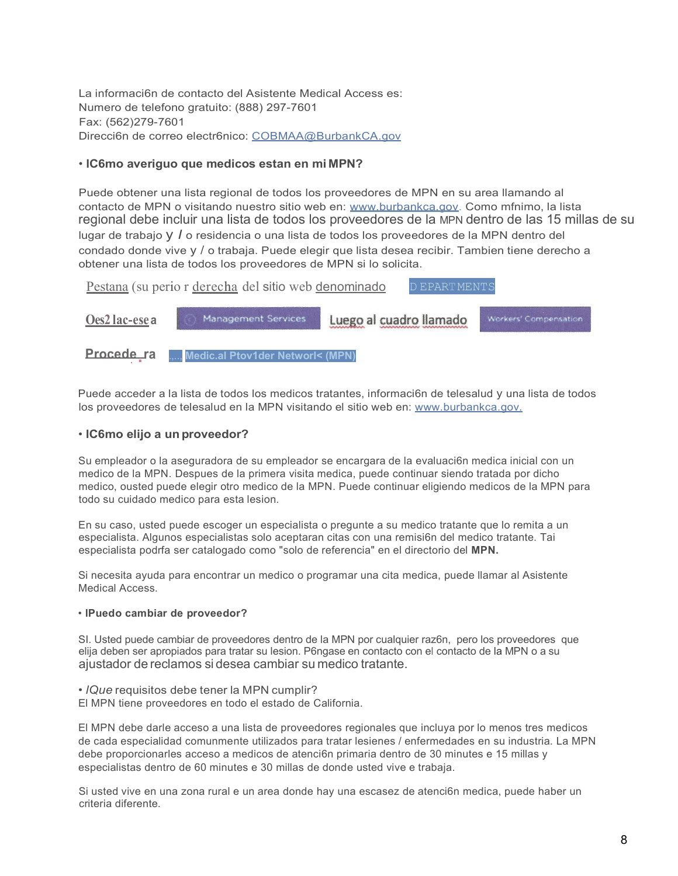La informaci6n de contacto del Asistente Medical Access es: Numero de telefono gratuito: (888) 297-7601 Fax: (562)279-7601 Direcci6n de correo electr6nico: [COBMAA@BurbankCA.gov](mailto:COBMAA@BurbankCA.gov)

### • **lC6mo averiguo que medicos estan en mi MPN?**

Puede obtener una lista regional de todos los proveedores de MPN en su area llamando al contacto de MPN o visitando nuestro sitio web en: [www.burbankca.gov.](http://www.burbankca.gov/) Como mfnimo, la lista regional debe incluir una lista de todos los proveedores de la MPN dentro de las 15 millas de su lugar de trabajo y *I* o residencia o una lista de todos los proveedores de la MPN dentro del condado donde vive y / o trabaja. Puede elegir que lista desea recibir. Tambien tiene derecho a obtener una lista de todos los proveedores de MPN si lo solicita.



Puede acceder a la lista de todos los medicos tratantes, informaci6n de telesalud y una lista de todos los proveedores de telesalud en la MPN visitando el sitio web en: [www.burbankca.gov.](http://www.burbankca.gov/)

### • **lC6mo elijo a un proveedor?**

Su empleador o la aseguradora de su empleador se encargara de la evaluaci6n medica inicial con un medico de la MPN. Despues de la primera visita medica, puede continuar siendo tratada por dicho medico, ousted puede elegir otro medico de la MPN. Puede continuar eligiendo medicos de la MPN para todo su cuidado medico para esta lesion.

En su caso, usted puede escoger un especialista o pregunte a su medico tratante que lo remita a un especialista. Algunos especialistas solo aceptaran citas con una remisi6n del medico tratante. Tai especialista podrfa ser catalogado como "solo de referencia" en el directorio del **MPN.**

Si necesita ayuda para encontrar un medico o programar una cita medica, puede llamar al Asistente Medical Access.

#### • **lPuedo cambiar de proveedor?**

SI. Usted puede cambiar de proveedores dentro de la MPN por cualquier raz6n, pero los proveedores que elija deben ser apropiados para tratar su lesion. P6ngase en contacto con el contacto de la MPN o a su ajustador de reclamos si desea cambiar su medico tratante.

• *lQue* requisitos debe tener la MPN cumplir?

El MPN tiene proveedores en todo el estado de California.

El MPN debe darle acceso a una lista de proveedores regionales que incluya por lo menos tres medicos de cada especialidad comunmente utilizados para tratar lesienes / enfermedades en su industria. La MPN debe proporcionarles acceso a medicos de atenci6n primaria dentro de 30 minutes e 15 millas y especialistas dentro de 60 minutes e 30 millas de donde usted vive e trabaja.

Si usted vive en una zona rural e un area donde hay una escasez de atenci6n medica, puede haber un criteria diferente.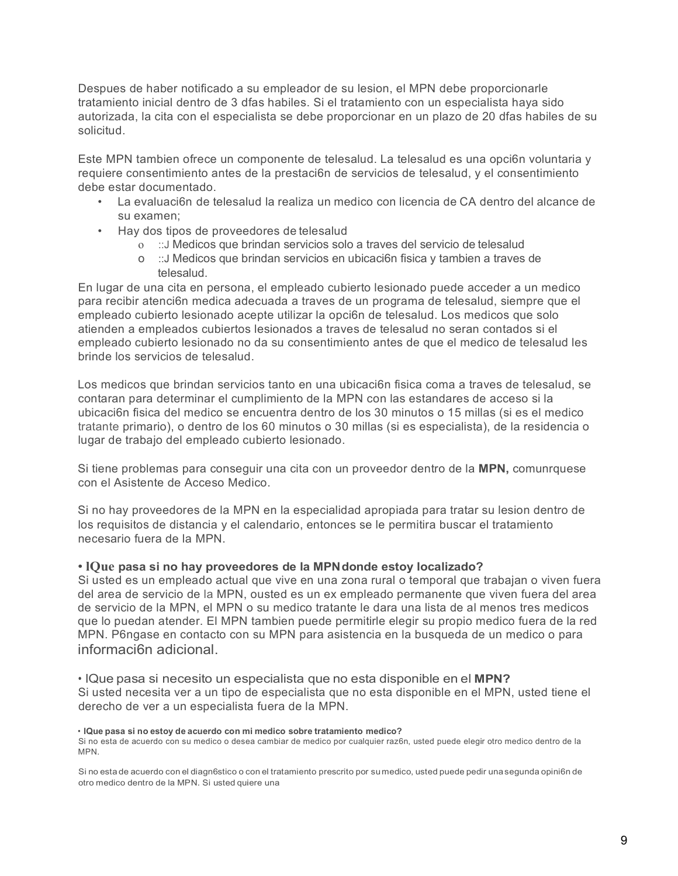Despues de haber notificado a su empleador de su lesion, el MPN debe proporcionarle tratamiento inicial dentro de 3 dfas habiles. Si el tratamiento con un especialista haya sido autorizada, la cita con el especialista se debe proporcionar en un plazo de 20 dfas habiles de su solicitud.

Este MPN tambien ofrece un componente de telesalud. La telesalud es una opci6n voluntaria y requiere consentimiento antes de la prestaci6n de servicios de telesalud, y el consentimiento debe estar documentado.

- La evaluaci6n de telesalud la realiza un medico con licencia de CA dentro del alcance de su examen;
- Hay dos tipos de proveedores de telesalud
	- o ::J Medicos que brindan servicios solo a traves del servicio de telesalud
	- o ::J Medicos que brindan servicios en ubicaci6n fisica y tambien a traves de telesalud.

En lugar de una cita en persona, el empleado cubierto lesionado puede acceder a un medico para recibir atenci6n medica adecuada a traves de un programa de telesalud, siempre que el empleado cubierto lesionado acepte utilizar la opci6n de telesalud. Los medicos que solo atienden a empleados cubiertos lesionados a traves de telesalud no seran contados si el empleado cubierto lesionado no da su consentimiento antes de que el medico de telesalud les brinde los servicios de telesalud.

Los medicos que brindan servicios tanto en una ubicaci6n fisica coma a traves de telesalud, se contaran para determinar el cumplimiento de la MPN con las estandares de acceso si la ubicaci6n fisica del medico se encuentra dentro de los 30 minutos o 15 millas (si es el medico tratante primario), o dentro de los 60 minutos o 30 millas (si es especialista), de la residencia o lugar de trabajo del empleado cubierto lesionado.

Si tiene problemas para conseguir una cita con un proveedor dentro de la **MPN,** comunrquese con el Asistente de Acceso Medico.

Si no hay proveedores de la MPN en la especialidad apropiada para tratar su lesion dentro de los requisitos de distancia y el calendario, entonces se le permitira buscar el tratamiento necesario fuera de la MPN.

### • **lQue pasa si no hay proveedores de la MPNdonde estoy localizado?**

Si usted es un empleado actual que vive en una zona rural o temporal que trabajan o viven fuera del area de servicio de la MPN, ousted es un ex empleado permanente que viven fuera del area de servicio de la MPN, el MPN o su medico tratante le dara una lista de al menos tres medicos que lo puedan atender. El MPN tambien puede permitirle elegir su propio medico fuera de la red MPN. P6ngase en contacto con su MPN para asistencia en la busqueda de un medico o para informaci6n adicional.

• lQue pasa si necesito un especialista que no esta disponible en el **MPN?** Si usted necesita ver a un tipo de especialista que no esta disponible en el MPN, usted tiene el derecho de ver a un especialista fuera de la MPN.

#### • **lQue pasa si no estoy de acuerdo con mi medico sobre tratamiento medico?**

Si no esta de acuerdo con su medico o desea cambiar de medico por cualquier raz6n, usted puede elegir otro medico dentro de la MPN.

Si no esta de acuerdo con el diagn6stico o con el tratamiento prescrito por sumedico, usted puede pedir unasegunda opini6n de otro medico dentro de la MPN. Si usted quiere una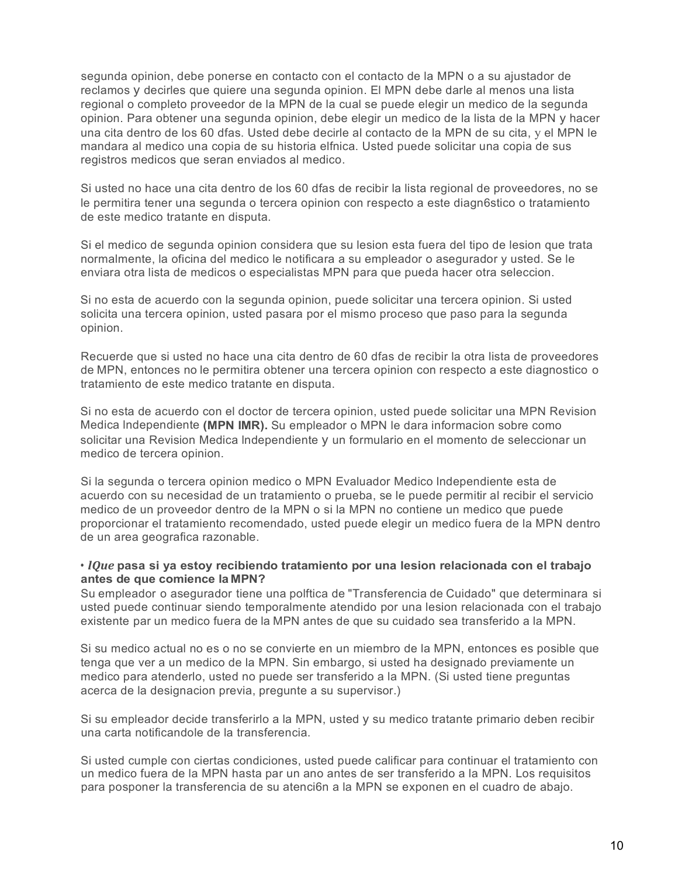segunda opinion, debe ponerse en contacto con el contacto de la MPN o a su ajustador de reclamos y decirles que quiere una segunda opinion. El MPN debe darle al menos una lista regional o completo proveedor de la MPN de la cual se puede elegir un medico de la segunda opinion. Para obtener una segunda opinion, debe elegir un medico de la lista de la MPN y hacer una cita dentro de los 60 dfas. Usted debe decirle al contacto de la MPN de su cita, y el MPN le mandara al medico una copia de su historia elfnica. Usted puede solicitar una copia de sus registros medicos que seran enviados al medico.

Si usted no hace una cita dentro de los 60 dfas de recibir la lista regional de proveedores, no se le permitira tener una segunda o tercera opinion con respecto a este diagn6stico o tratamiento de este medico tratante en disputa.

Si el medico de segunda opinion considera que su lesion esta fuera del tipo de lesion que trata normalmente, la oficina del medico le notificara a su empleador o asegurador y usted. Se le enviara otra lista de medicos o especialistas MPN para que pueda hacer otra seleccion.

Si no esta de acuerdo con la segunda opinion, puede solicitar una tercera opinion. Si usted solicita una tercera opinion, usted pasara por el mismo proceso que paso para la segunda opinion.

Recuerde que si usted no hace una cita dentro de 60 dfas de recibir la otra lista de proveedores de MPN, entonces no le permitira obtener una tercera opinion con respecto a este diagnostico o tratamiento de este medico tratante en disputa.

Si no esta de acuerdo con el doctor de tercera opinion, usted puede solicitar una MPN Revision Medica lndependiente **(MPN IMR).** Su empleador o MPN le dara informacion sobre como solicitar una Revision Medica lndependiente y un formulario en el momento de seleccionar un medico de tercera opinion.

Si la segunda o tercera opinion medico o MPN Evaluador Medico lndependiente esta de acuerdo con su necesidad de un tratamiento o prueba, se le puede permitir al recibir el servicio medico de un proveedor dentro de la MPN o si la MPN no contiene un medico que puede proporcionar el tratamiento recomendado, usted puede elegir un medico fuera de la MPN dentro de un area geografica razonable.

### • *lQue* **pasa si ya estoy recibiendo tratamiento por una lesion relacionada con el trabajo antes de que comience la MPN?**

Su empleador o asegurador tiene una polftica de "Transferencia de Cuidado" que determinara si usted puede continuar siendo temporalmente atendido por una lesion relacionada con el trabajo existente par un medico fuera de la MPN antes de que su cuidado sea transferido a la MPN.

Si su medico actual no es o no se convierte en un miembro de la MPN, entonces es posible que tenga que ver a un medico de la MPN. Sin embargo, si usted ha designado previamente un medico para atenderlo, usted no puede ser transferido a la MPN. (Si usted tiene preguntas acerca de la designacion previa, pregunte a su supervisor.)

Si su empleador decide transferirlo a la MPN, usted y su medico tratante primario deben recibir una carta notificandole de la transferencia.

Si usted cumple con ciertas condiciones, usted puede calificar para continuar el tratamiento con un medico fuera de la MPN hasta par un ano antes de ser transferido a la MPN. Los requisitos para posponer la transferencia de su atenci6n a la MPN se exponen en el cuadro de abajo.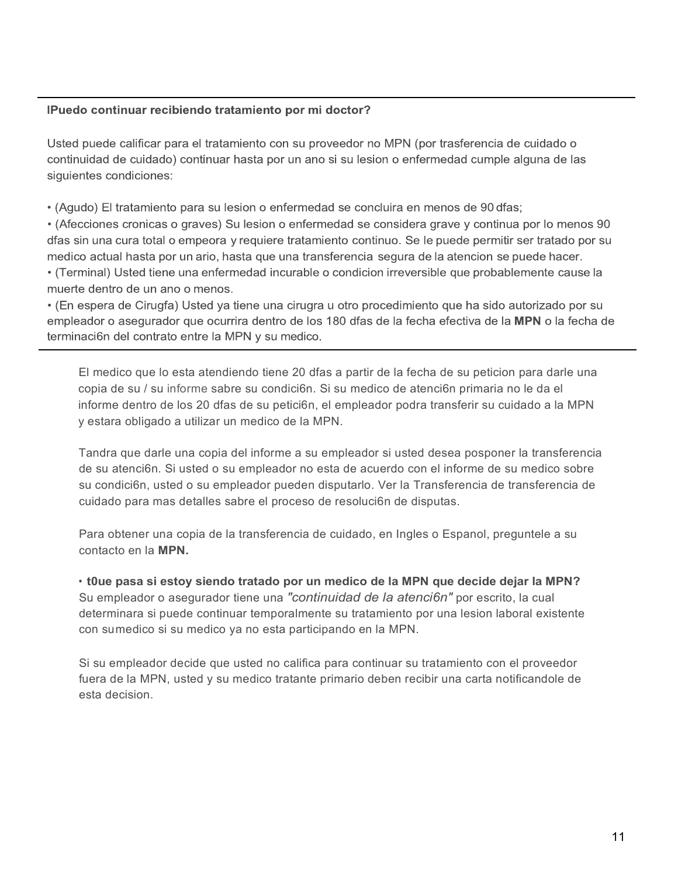## IPuedo continuar recibiendo tratamiento por mi doctor?

Usted puede calificar para el tratamiento con su proveedor no MPN (por trasferencia de cuidado o continuidad de cuidado) continuar hasta por un ano si su lesion o enfermedad cumple alguna de las siguientes condiciones:

• (Agudo) El tratamiento para su lesion o enfermedad se concluira en menos de 90 dfas;

• (Afecciones cronicas o graves) Su lesion o enfermedad se considera grave y continua por lo menos 90 dfas sin una cura total o empeora y requiere tratamiento continuo. Se le puede permitir ser tratado por su medico actual hasta por un ario, hasta que una transferencia segura de la atencion se puede hacer.

• (Terminal) Usted tiene una enfermedad incurable o condicion irreversible que probablemente cause la muerte dentro de un ano o menos.

• (En espera de Cirugfa) Usted ya tiene una cirugra u otro procedimiento que ha sido autorizado por su empleador o asegurador que ocurrira dentro de los 180 dfas de la fecha efectiva de la MPN o la fecha de terminaci6n del contrato entre la MPN y su medico.

El medico que lo esta atendiendo tiene 20 dfas a partir de la fecha de su peticion para darle una copia de su / su informe sabre su condici6n. Si su medico de atenci6n primaria no le da el informe dentro de los 20 dfas de su petici6n, el empleador podra transferir su cuidado a la MPN y estara obligado a utilizar un medico de la MPN.

Tandra que darle una copia del informe a su empleador si usted desea posponer la transferencia de su atenci6n. Si usted o su empleador no esta de acuerdo con el informe de su medico sobre su condici6n, usted o su empleador pueden disputarlo. Ver la Transferencia de transferencia de cuidado para mas detalles sabre el proceso de resoluci6n de disputas.

Para obtener una copia de la transferencia de cuidado, en Ingles o Espanol, preguntele a su contacto en la **MPN.**

• **t0ue pasa si estoy siendo tratado por un medico de la MPN que decide dejar la MPN?**  Su empleador o asegurador tiene una *"continuidad de la atenci6n"* por escrito, la cual determinara si puede continuar temporalmente su tratamiento por una lesion laboral existente con sumedico si su medico ya no esta participando en la MPN.

Si su empleador decide que usted no califica para continuar su tratamiento con el proveedor fuera de la MPN, usted y su medico tratante primario deben recibir una carta notificandole de esta decision.